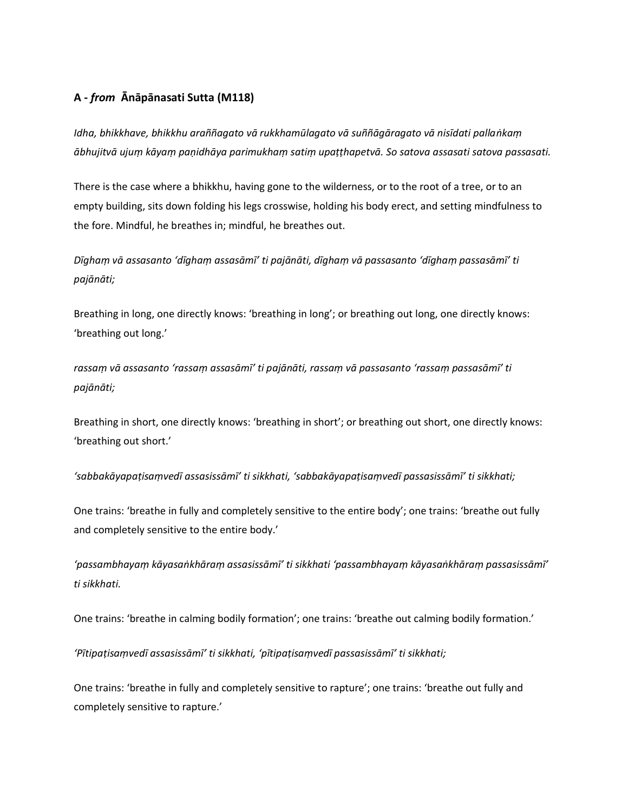## **A -** *from* **Ānāpānasati Sutta (M118)**

*Idha, bhikkhave, bhikkhu araññagato vā rukkhamūlagato vā suññāgāragato vā nisīdati pallaṅkaṃ ābhujitvā ujuṃ kāyaṃ paṇidhāya parimukhaṃ satiṃ upaṭṭhapetvā. So satova assasati satova passasati.*

There is the case where a bhikkhu, having gone to the wilderness, or to the root of a tree, or to an empty building, sits down folding his legs crosswise, holding his body erect, and setting mindfulness to the fore. Mindful, he breathes in; mindful, he breathes out.

*Dīghaṃ vā assasanto 'dīghaṃ assasāmī' ti pajānāti, dīghaṃ vā passasanto 'dīghaṃ passasāmī' ti pajānāti;*

Breathing in long, one directly knows: 'breathing in long'; or breathing out long, one directly knows: 'breathing out long.'

*rassaṃ vā assasanto 'rassaṃ assasāmī' ti pajānāti, rassaṃ vā passasanto 'rassaṃ passasāmī' ti pajānāti;*

Breathing in short, one directly knows: 'breathing in short'; or breathing out short, one directly knows: 'breathing out short.'

*'sabbakāyapaṭisaṃvedī assasissāmī' ti sikkhati, 'sabbakāyapaṭisaṃvedī passasissāmī' ti sikkhati;*

One trains: 'breathe in fully and completely sensitive to the entire body'; one trains: 'breathe out fully and completely sensitive to the entire body.'

*'passambhayaṃ kāyasaṅkhāraṃ assasissāmī' ti sikkhati 'passambhayaṃ kāyasaṅkhāraṃ passasissāmī' ti sikkhati.*

One trains: 'breathe in calming bodily formation'; one trains: 'breathe out calming bodily formation.'

*'Pītipaṭisaṃvedī assasissāmī' ti sikkhati, 'pītipaṭisaṃvedī passasissāmī' ti sikkhati;*

One trains: 'breathe in fully and completely sensitive to rapture'; one trains: 'breathe out fully and completely sensitive to rapture.'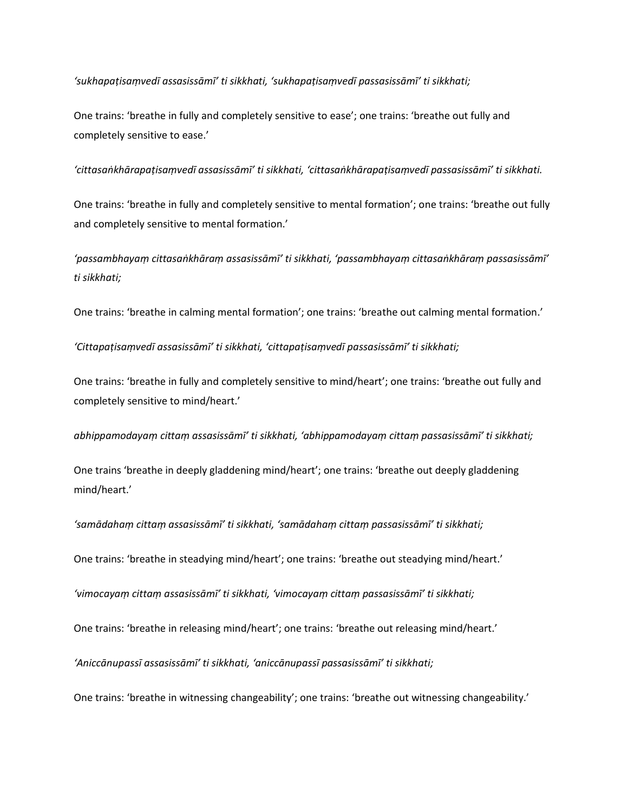*'sukhapaṭisaṃvedī assasissāmī' ti sikkhati, 'sukhapaṭisaṃvedī passasissāmī' ti sikkhati;*

One trains: 'breathe in fully and completely sensitive to ease'; one trains: 'breathe out fully and completely sensitive to ease.'

*'cittasaṅkhārapaṭisaṃvedī assasissāmī' ti sikkhati, 'cittasaṅkhārapaṭisaṃvedī passasissāmī' ti sikkhati.*

One trains: 'breathe in fully and completely sensitive to mental formation'; one trains: 'breathe out fully and completely sensitive to mental formation.'

*'passambhayaṃ cittasaṅkhāraṃ assasissāmī' ti sikkhati, 'passambhayaṃ cittasaṅkhāraṃ passasissāmī' ti sikkhati;*

One trains: 'breathe in calming mental formation'; one trains: 'breathe out calming mental formation.'

*'Cittapaṭisaṃvedī assasissāmī' ti sikkhati, 'cittapaṭisaṃvedī passasissāmī' ti sikkhati;*

One trains: 'breathe in fully and completely sensitive to mind/heart'; one trains: 'breathe out fully and completely sensitive to mind/heart.'

*abhippamodayaṃ cittaṃ assasissāmī' ti sikkhati, 'abhippamodayaṃ cittaṃ passasissāmī' ti sikkhati;*

One trains 'breathe in deeply gladdening mind/heart'; one trains: 'breathe out deeply gladdening mind/heart.'

*'samādahaṃ cittaṃ assasissāmī' ti sikkhati, 'samādahaṃ cittaṃ passasissāmī' ti sikkhati;*

One trains: 'breathe in steadying mind/heart'; one trains: 'breathe out steadying mind/heart.'

*'vimocayaṃ cittaṃ assasissāmī' ti sikkhati, 'vimocayaṃ cittaṃ passasissāmī' ti sikkhati;*

One trains: 'breathe in releasing mind/heart'; one trains: 'breathe out releasing mind/heart.'

*'Aniccānupassī assasissāmī' ti sikkhati, 'aniccānupassī passasissāmī' ti sikkhati;*

One trains: 'breathe in witnessing changeability'; one trains: 'breathe out witnessing changeability.'